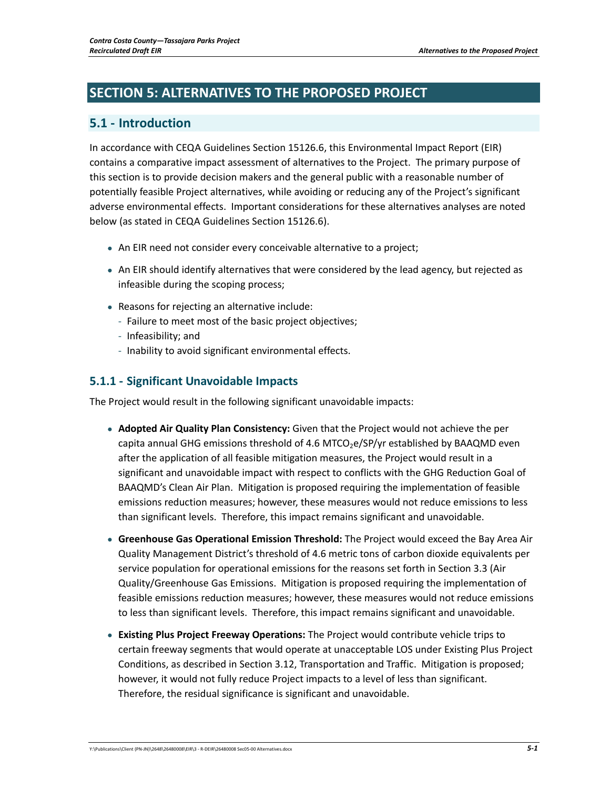# **SECTION 5: ALTERNATIVES TO THE PROPOSED PROJECT**

## **5.1 ‐ Introduction**

In accordance with CEQA Guidelines Section 15126.6, this Environmental Impact Report (EIR) contains a comparative impact assessment of alternatives to the Project. The primary purpose of this section is to provide decision makers and the general public with a reasonable number of potentially feasible Project alternatives, while avoiding or reducing any of the Project's significant adverse environmental effects. Important considerations for these alternatives analyses are noted below (as stated in CEQA Guidelines Section 15126.6).

- An EIR need not consider every conceivable alternative to a project;
- An EIR should identify alternatives that were considered by the lead agency, but rejected as infeasible during the scoping process;
- Reasons for rejecting an alternative include:
	- ‐ Failure to meet most of the basic project objectives;
	- ‐ Infeasibility; and
	- ‐ Inability to avoid significant environmental effects.

### **5.1.1 ‐ Significant Unavoidable Impacts**

The Project would result in the following significant unavoidable impacts:

- **Adopted Air Quality Plan Consistency:** Given that the Project would not achieve the per capita annual GHG emissions threshold of 4.6 MTCO<sub>2</sub>e/SP/yr established by BAAQMD even after the application of all feasible mitigation measures, the Project would result in a significant and unavoidable impact with respect to conflicts with the GHG Reduction Goal of BAAQMD's Clean Air Plan. Mitigation is proposed requiring the implementation of feasible emissions reduction measures; however, these measures would not reduce emissions to less than significant levels. Therefore, this impact remains significant and unavoidable.
- **Greenhouse Gas Operational Emission Threshold:** The Project would exceed the Bay Area Air Quality Management District's threshold of 4.6 metric tons of carbon dioxide equivalents per service population for operational emissions for the reasons set forth in Section 3.3 (Air Quality/Greenhouse Gas Emissions. Mitigation is proposed requiring the implementation of feasible emissions reduction measures; however, these measures would not reduce emissions to less than significant levels. Therefore, this impact remains significant and unavoidable.
- **Existing Plus Project Freeway Operations:** The Project would contribute vehicle trips to certain freeway segments that would operate at unacceptable LOS under Existing Plus Project Conditions, as described in Section 3.12, Transportation and Traffic. Mitigation is proposed; however, it would not fully reduce Project impacts to a level of less than significant. Therefore, the residual significance is significant and unavoidable.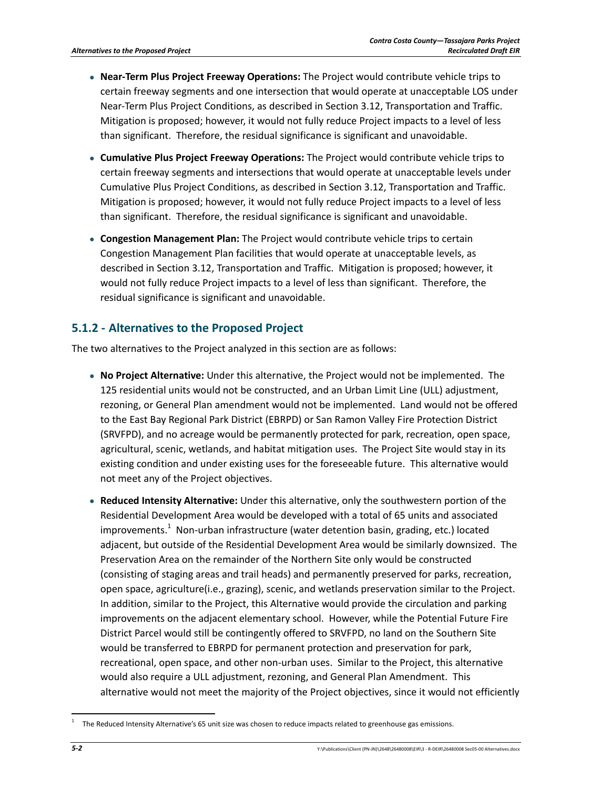- **Near‐Term Plus Project Freeway Operations:** The Project would contribute vehicle trips to certain freeway segments and one intersection that would operate at unacceptable LOS under Near-Term Plus Project Conditions, as described in Section 3.12, Transportation and Traffic. Mitigation is proposed; however, it would not fully reduce Project impacts to a level of less than significant. Therefore, the residual significance is significant and unavoidable.
- **Cumulative Plus Project Freeway Operations:** The Project would contribute vehicle trips to certain freeway segments and intersections that would operate at unacceptable levels under Cumulative Plus Project Conditions, as described in Section 3.12, Transportation and Traffic. Mitigation is proposed; however, it would not fully reduce Project impacts to a level of less than significant. Therefore, the residual significance is significant and unavoidable.
- **Congestion Management Plan:** The Project would contribute vehicle trips to certain Congestion Management Plan facilities that would operate at unacceptable levels, as described in Section 3.12, Transportation and Traffic. Mitigation is proposed; however, it would not fully reduce Project impacts to a level of less than significant. Therefore, the residual significance is significant and unavoidable.

### **5.1.2 ‐ Alternatives to the Proposed Project**

The two alternatives to the Project analyzed in this section are as follows:

- **No Project Alternative:** Under this alternative, the Project would not be implemented. The 125 residential units would not be constructed, and an Urban Limit Line (ULL) adjustment, rezoning, or General Plan amendment would not be implemented. Land would not be offered to the East Bay Regional Park District (EBRPD) or San Ramon Valley Fire Protection District (SRVFPD), and no acreage would be permanently protected for park, recreation, open space, agricultural, scenic, wetlands, and habitat mitigation uses. The Project Site would stay in its existing condition and under existing uses for the foreseeable future. This alternative would not meet any of the Project objectives.
- **Reduced Intensity Alternative:** Under this alternative, only the southwestern portion of the Residential Development Area would be developed with a total of 65 units and associated improvements.<sup>1</sup> Non-urban infrastructure (water detention basin, grading, etc.) located adjacent, but outside of the Residential Development Area would be similarly downsized. The Preservation Area on the remainder of the Northern Site only would be constructed (consisting of staging areas and trail heads) and permanently preserved for parks, recreation, open space, agriculture(i.e., grazing), scenic, and wetlands preservation similar to the Project. In addition, similar to the Project, this Alternative would provide the circulation and parking improvements on the adjacent elementary school. However, while the Potential Future Fire District Parcel would still be contingently offered to SRVFPD, no land on the Southern Site would be transferred to EBRPD for permanent protection and preservation for park, recreational, open space, and other non-urban uses. Similar to the Project, this alternative would also require a ULL adjustment, rezoning, and General Plan Amendment. This alternative would not meet the majority of the Project objectives, since it would not efficiently

 <sup>1</sup> The Reduced Intensity Alternative's 65 unit size was chosen to reduce impacts related to greenhouse gas emissions.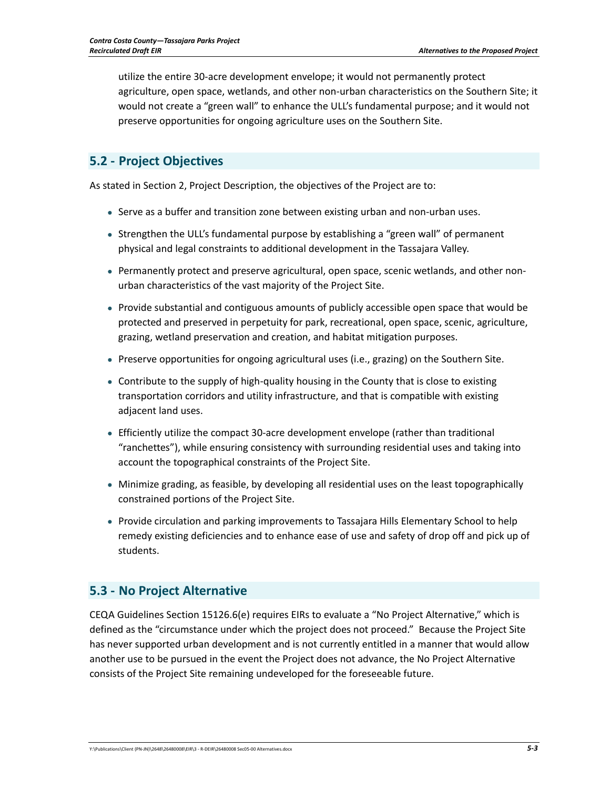utilize the entire 30‐acre development envelope; it would not permanently protect agriculture, open space, wetlands, and other non‐urban characteristics on the Southern Site; it would not create a "green wall" to enhance the ULL's fundamental purpose; and it would not preserve opportunities for ongoing agriculture uses on the Southern Site.

### **5.2 ‐ Project Objectives**

As stated in Section 2, Project Description, the objectives of the Project are to:

- Serve as a buffer and transition zone between existing urban and non-urban uses.
- Strengthen the ULL's fundamental purpose by establishing a "green wall" of permanent physical and legal constraints to additional development in the Tassajara Valley.
- Permanently protect and preserve agricultural, open space, scenic wetlands, and other nonurban characteristics of the vast majority of the Project Site.
- Provide substantial and contiguous amounts of publicly accessible open space that would be protected and preserved in perpetuity for park, recreational, open space, scenic, agriculture, grazing, wetland preservation and creation, and habitat mitigation purposes.
- Preserve opportunities for ongoing agricultural uses (i.e., grazing) on the Southern Site.
- Contribute to the supply of high-quality housing in the County that is close to existing transportation corridors and utility infrastructure, and that is compatible with existing adjacent land uses.
- Efficiently utilize the compact 30‐acre development envelope (rather than traditional "ranchettes"), while ensuring consistency with surrounding residential uses and taking into account the topographical constraints of the Project Site.
- Minimize grading, as feasible, by developing all residential uses on the least topographically constrained portions of the Project Site.
- Provide circulation and parking improvements to Tassajara Hills Elementary School to help remedy existing deficiencies and to enhance ease of use and safety of drop off and pick up of students.

### **5.3 ‐ No Project Alternative**

CEQA Guidelines Section 15126.6(e) requires EIRs to evaluate a "No Project Alternative," which is defined as the "circumstance under which the project does not proceed." Because the Project Site has never supported urban development and is not currently entitled in a manner that would allow another use to be pursued in the event the Project does not advance, the No Project Alternative consists of the Project Site remaining undeveloped for the foreseeable future.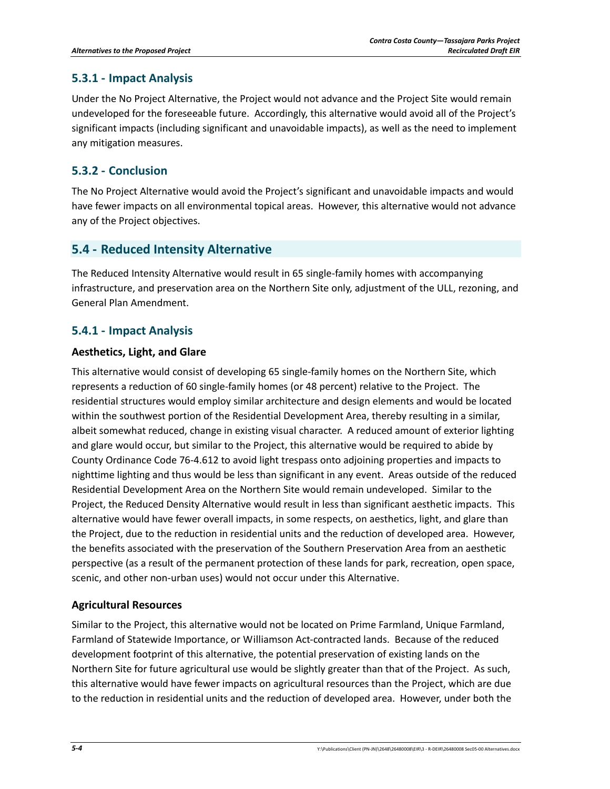#### **5.3.1 ‐ Impact Analysis**

Under the No Project Alternative, the Project would not advance and the Project Site would remain undeveloped for the foreseeable future. Accordingly, this alternative would avoid all of the Project's significant impacts (including significant and unavoidable impacts), as well as the need to implement any mitigation measures.

### **5.3.2 ‐ Conclusion**

The No Project Alternative would avoid the Project's significant and unavoidable impacts and would have fewer impacts on all environmental topical areas. However, this alternative would not advance any of the Project objectives.

### **5.4 ‐ Reduced Intensity Alternative**

The Reduced Intensity Alternative would result in 65 single‐family homes with accompanying infrastructure, and preservation area on the Northern Site only, adjustment of the ULL, rezoning, and General Plan Amendment.

### **5.4.1 ‐ Impact Analysis**

#### **Aesthetics, Light, and Glare**

This alternative would consist of developing 65 single‐family homes on the Northern Site, which represents a reduction of 60 single‐family homes (or 48 percent) relative to the Project. The residential structures would employ similar architecture and design elements and would be located within the southwest portion of the Residential Development Area, thereby resulting in a similar, albeit somewhat reduced, change in existing visual character. A reduced amount of exterior lighting and glare would occur, but similar to the Project, this alternative would be required to abide by County Ordinance Code 76‐4.612 to avoid light trespass onto adjoining properties and impacts to nighttime lighting and thus would be less than significant in any event. Areas outside of the reduced Residential Development Area on the Northern Site would remain undeveloped. Similar to the Project, the Reduced Density Alternative would result in less than significant aesthetic impacts. This alternative would have fewer overall impacts, in some respects, on aesthetics, light, and glare than the Project, due to the reduction in residential units and the reduction of developed area. However, the benefits associated with the preservation of the Southern Preservation Area from an aesthetic perspective (as a result of the permanent protection of these lands for park, recreation, open space, scenic, and other non‐urban uses) would not occur under this Alternative.

#### **Agricultural Resources**

Similar to the Project, this alternative would not be located on Prime Farmland, Unique Farmland, Farmland of Statewide Importance, or Williamson Act-contracted lands. Because of the reduced development footprint of this alternative, the potential preservation of existing lands on the Northern Site for future agricultural use would be slightly greater than that of the Project. As such, this alternative would have fewer impacts on agricultural resources than the Project, which are due to the reduction in residential units and the reduction of developed area. However, under both the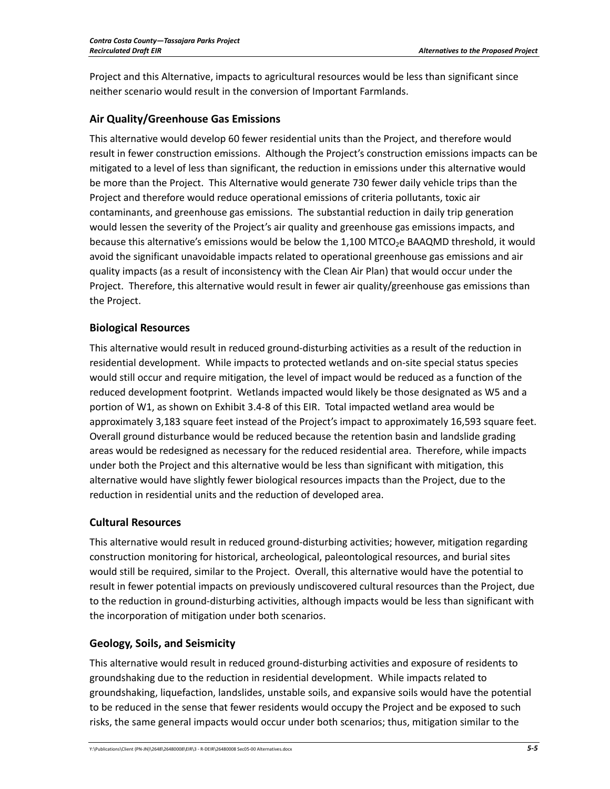Project and this Alternative, impacts to agricultural resources would be less than significant since neither scenario would result in the conversion of Important Farmlands.

#### **Air Quality/Greenhouse Gas Emissions**

This alternative would develop 60 fewer residential units than the Project, and therefore would result in fewer construction emissions. Although the Project's construction emissions impacts can be mitigated to a level of less than significant, the reduction in emissions under this alternative would be more than the Project. This Alternative would generate 730 fewer daily vehicle trips than the Project and therefore would reduce operational emissions of criteria pollutants, toxic air contaminants, and greenhouse gas emissions. The substantial reduction in daily trip generation would lessen the severity of the Project's air quality and greenhouse gas emissions impacts, and because this alternative's emissions would be below the 1,100 MTCO<sub>2</sub>e BAAQMD threshold, it would avoid the significant unavoidable impacts related to operational greenhouse gas emissions and air quality impacts (as a result of inconsistency with the Clean Air Plan) that would occur under the Project. Therefore, this alternative would result in fewer air quality/greenhouse gas emissions than the Project.

#### **Biological Resources**

This alternative would result in reduced ground‐disturbing activities as a result of the reduction in residential development. While impacts to protected wetlands and on‐site special status species would still occur and require mitigation, the level of impact would be reduced as a function of the reduced development footprint. Wetlands impacted would likely be those designated as W5 and a portion of W1, as shown on Exhibit 3.4‐8 of this EIR. Total impacted wetland area would be approximately 3,183 square feet instead of the Project's impact to approximately 16,593 square feet. Overall ground disturbance would be reduced because the retention basin and landslide grading areas would be redesigned as necessary for the reduced residential area. Therefore, while impacts under both the Project and this alternative would be less than significant with mitigation, this alternative would have slightly fewer biological resources impacts than the Project, due to the reduction in residential units and the reduction of developed area.

#### **Cultural Resources**

This alternative would result in reduced ground‐disturbing activities; however, mitigation regarding construction monitoring for historical, archeological, paleontological resources, and burial sites would still be required, similar to the Project. Overall, this alternative would have the potential to result in fewer potential impacts on previously undiscovered cultural resources than the Project, due to the reduction in ground‐disturbing activities, although impacts would be less than significant with the incorporation of mitigation under both scenarios.

### **Geology, Soils, and Seismicity**

This alternative would result in reduced ground‐disturbing activities and exposure of residents to groundshaking due to the reduction in residential development. While impacts related to groundshaking, liquefaction, landslides, unstable soils, and expansive soils would have the potential to be reduced in the sense that fewer residents would occupy the Project and be exposed to such risks, the same general impacts would occur under both scenarios; thus, mitigation similar to the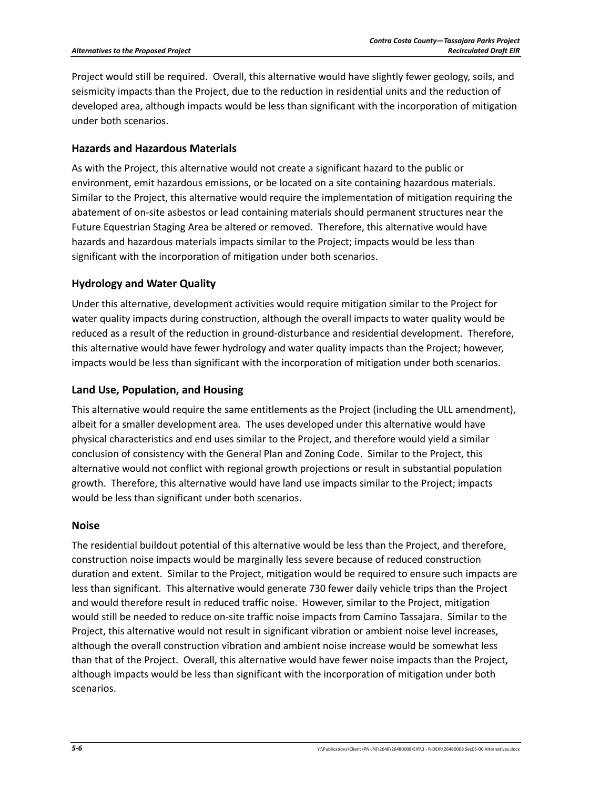Project would still be required. Overall, this alternative would have slightly fewer geology, soils, and seismicity impacts than the Project, due to the reduction in residential units and the reduction of developed area, although impacts would be less than significant with the incorporation of mitigation under both scenarios.

#### **Hazards and Hazardous Materials**

As with the Project, this alternative would not create a significant hazard to the public or environment, emit hazardous emissions, or be located on a site containing hazardous materials. Similar to the Project, this alternative would require the implementation of mitigation requiring the abatement of on‐site asbestos or lead containing materials should permanent structures near the Future Equestrian Staging Area be altered or removed. Therefore, this alternative would have hazards and hazardous materials impacts similar to the Project; impacts would be less than significant with the incorporation of mitigation under both scenarios.

#### **Hydrology and Water Quality**

Under this alternative, development activities would require mitigation similar to the Project for water quality impacts during construction, although the overall impacts to water quality would be reduced as a result of the reduction in ground‐disturbance and residential development. Therefore, this alternative would have fewer hydrology and water quality impacts than the Project; however, impacts would be less than significant with the incorporation of mitigation under both scenarios.

#### **Land Use, Population, and Housing**

This alternative would require the same entitlements as the Project (including the ULL amendment), albeit for a smaller development area. The uses developed under this alternative would have physical characteristics and end uses similar to the Project, and therefore would yield a similar conclusion of consistency with the General Plan and Zoning Code. Similar to the Project, this alternative would not conflict with regional growth projections or result in substantial population growth. Therefore, this alternative would have land use impacts similar to the Project; impacts would be less than significant under both scenarios.

#### **Noise**

The residential buildout potential of this alternative would be less than the Project, and therefore, construction noise impacts would be marginally less severe because of reduced construction duration and extent. Similar to the Project, mitigation would be required to ensure such impacts are less than significant. This alternative would generate 730 fewer daily vehicle trips than the Project and would therefore result in reduced traffic noise. However, similar to the Project, mitigation would still be needed to reduce on‐site traffic noise impacts from Camino Tassajara. Similar to the Project, this alternative would not result in significant vibration or ambient noise level increases, although the overall construction vibration and ambient noise increase would be somewhat less than that of the Project. Overall, this alternative would have fewer noise impacts than the Project, although impacts would be less than significant with the incorporation of mitigation under both scenarios.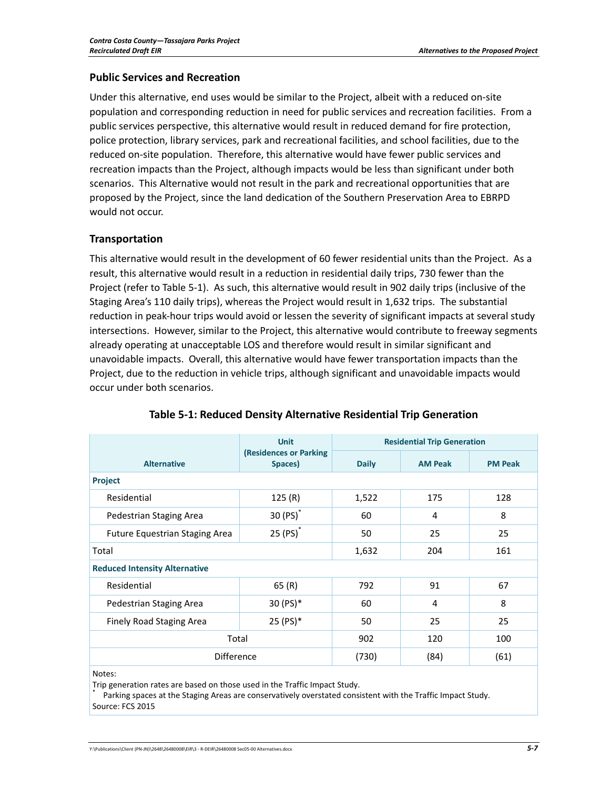#### **Public Services and Recreation**

Under this alternative, end uses would be similar to the Project, albeit with a reduced on‐site population and corresponding reduction in need for public services and recreation facilities. From a public services perspective, this alternative would result in reduced demand for fire protection, police protection, library services, park and recreational facilities, and school facilities, due to the reduced on‐site population. Therefore, this alternative would have fewer public services and recreation impacts than the Project, although impacts would be less than significant under both scenarios. This Alternative would not result in the park and recreational opportunities that are proposed by the Project, since the land dedication of the Southern Preservation Area to EBRPD would not occur.

#### **Transportation**

This alternative would result in the development of 60 fewer residential units than the Project. As a result, this alternative would result in a reduction in residential daily trips, 730 fewer than the Project (refer to Table 5‐1). As such, this alternative would result in 902 daily trips (inclusive of the Staging Area's 110 daily trips), whereas the Project would result in 1,632 trips. The substantial reduction in peak-hour trips would avoid or lessen the severity of significant impacts at several study intersections. However, similar to the Project, this alternative would contribute to freeway segments already operating at unacceptable LOS and therefore would result in similar significant and unavoidable impacts. Overall, this alternative would have fewer transportation impacts than the Project, due to the reduction in vehicle trips, although significant and unavoidable impacts would occur under both scenarios.

|                                       | <b>Unit</b>                       | <b>Residential Trip Generation</b> |                |                |  |  |
|---------------------------------------|-----------------------------------|------------------------------------|----------------|----------------|--|--|
| <b>Alternative</b>                    | (Residences or Parking<br>Spaces) | <b>Daily</b>                       | <b>AM Peak</b> | <b>PM Peak</b> |  |  |
| Project                               |                                   |                                    |                |                |  |  |
| Residential                           | 125(R)                            | 1,522                              | 175            | 128            |  |  |
| Pedestrian Staging Area               | $30(PS)^*$                        | 60                                 | 4              | 8              |  |  |
| <b>Future Equestrian Staging Area</b> | $25(PS)^*$                        | 50                                 | 25             | 25             |  |  |
| Total                                 |                                   | 1,632                              | 204            | 161            |  |  |
| <b>Reduced Intensity Alternative</b>  |                                   |                                    |                |                |  |  |
| Residential                           | 65(R)                             | 792                                | 91             | 67             |  |  |
| Pedestrian Staging Area               | 30 (PS)*                          | 60                                 | 4              | 8              |  |  |
| <b>Finely Road Staging Area</b>       | 25 (PS)*                          | 50                                 | 25             | 25             |  |  |
| Total                                 |                                   | 902                                | 120            | 100            |  |  |
| <b>Difference</b>                     |                                   | (730)                              | (84)           | (61)           |  |  |

#### **Table 5‐1: Reduced Density Alternative Residential Trip Generation**

Notes:

Trip generation rates are based on those used in the Traffic Impact Study.<br>\* Parking spaces at the Staging Areas are conservatively overstated consistent with the Traffic Impact Study. Source: FCS 2015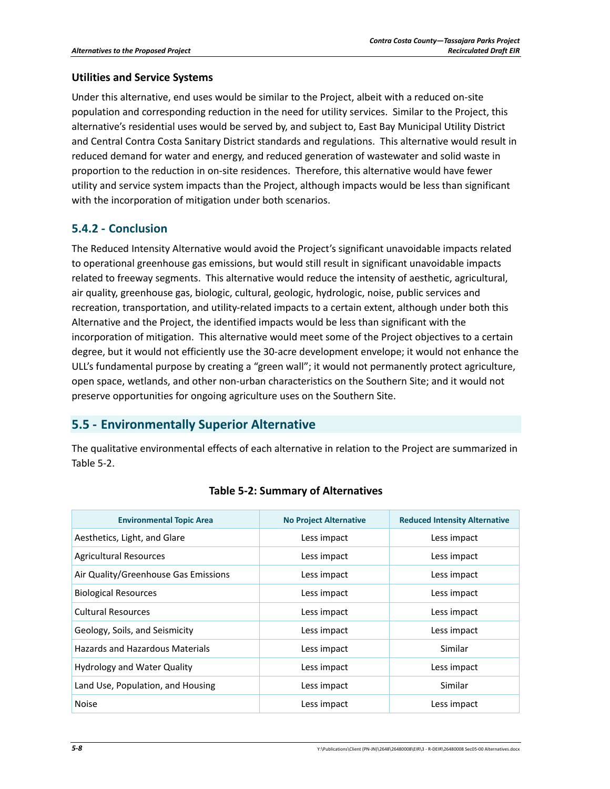#### **Utilities and Service Systems**

Under this alternative, end uses would be similar to the Project, albeit with a reduced on‐site population and corresponding reduction in the need for utility services. Similar to the Project, this alternative's residential uses would be served by, and subject to, East Bay Municipal Utility District and Central Contra Costa Sanitary District standards and regulations. This alternative would result in reduced demand for water and energy, and reduced generation of wastewater and solid waste in proportion to the reduction in on‐site residences. Therefore, this alternative would have fewer utility and service system impacts than the Project, although impacts would be less than significant with the incorporation of mitigation under both scenarios.

### **5.4.2 ‐ Conclusion**

The Reduced Intensity Alternative would avoid the Project's significant unavoidable impacts related to operational greenhouse gas emissions, but would still result in significant unavoidable impacts related to freeway segments. This alternative would reduce the intensity of aesthetic, agricultural, air quality, greenhouse gas, biologic, cultural, geologic, hydrologic, noise, public services and recreation, transportation, and utility-related impacts to a certain extent, although under both this Alternative and the Project, the identified impacts would be less than significant with the incorporation of mitigation. This alternative would meet some of the Project objectives to a certain degree, but it would not efficiently use the 30‐acre development envelope; it would not enhance the ULL's fundamental purpose by creating a "green wall"; it would not permanently protect agriculture, open space, wetlands, and other non‐urban characteristics on the Southern Site; and it would not preserve opportunities for ongoing agriculture uses on the Southern Site.

### **5.5 ‐ Environmentally Superior Alternative**

The qualitative environmental effects of each alternative in relation to the Project are summarized in Table 5‐2.

| <b>Environmental Topic Area</b>      | <b>No Project Alternative</b> | <b>Reduced Intensity Alternative</b> |
|--------------------------------------|-------------------------------|--------------------------------------|
| Aesthetics, Light, and Glare         | Less impact                   | Less impact                          |
| <b>Agricultural Resources</b>        | Less impact                   | Less impact                          |
| Air Quality/Greenhouse Gas Emissions | Less impact                   | Less impact                          |
| <b>Biological Resources</b>          | Less impact                   | Less impact                          |
| <b>Cultural Resources</b>            | Less impact                   | Less impact                          |
| Geology, Soils, and Seismicity       | Less impact                   | Less impact                          |
| Hazards and Hazardous Materials      | Less impact                   | Similar                              |
| <b>Hydrology and Water Quality</b>   | Less impact                   | Less impact                          |
| Land Use, Population, and Housing    | Less impact                   | Similar                              |
| <b>Noise</b>                         | Less impact                   | Less impact                          |

#### **Table 5‐2: Summary of Alternatives**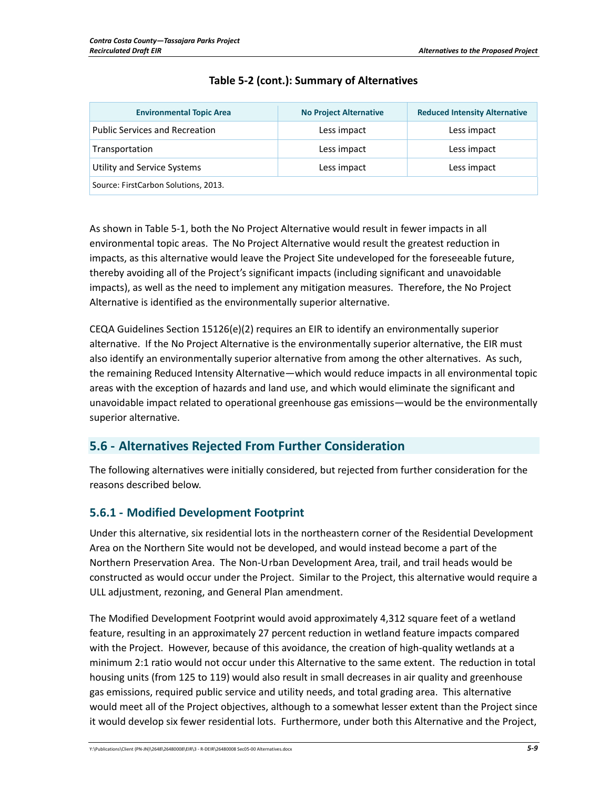| <b>Environmental Topic Area</b>       | <b>No Project Alternative</b> | <b>Reduced Intensity Alternative</b> |
|---------------------------------------|-------------------------------|--------------------------------------|
| <b>Public Services and Recreation</b> | Less impact                   | Less impact                          |
| Transportation                        | Less impact                   | Less impact                          |
| Utility and Service Systems           | Less impact                   | Less impact                          |
| Source: FirstCarbon Solutions, 2013.  |                               |                                      |

### **Table 5‐2 (cont.): Summary of Alternatives**

As shown in Table 5‐1, both the No Project Alternative would result in fewer impacts in all environmental topic areas. The No Project Alternative would result the greatest reduction in impacts, as this alternative would leave the Project Site undeveloped for the foreseeable future, thereby avoiding all of the Project's significant impacts (including significant and unavoidable impacts), as well as the need to implement any mitigation measures. Therefore, the No Project Alternative is identified as the environmentally superior alternative.

CEQA Guidelines Section 15126(e)(2) requires an EIR to identify an environmentally superior alternative. If the No Project Alternative is the environmentally superior alternative, the EIR must also identify an environmentally superior alternative from among the other alternatives. As such, the remaining Reduced Intensity Alternative—which would reduce impacts in all environmental topic areas with the exception of hazards and land use, and which would eliminate the significant and unavoidable impact related to operational greenhouse gas emissions—would be the environmentally superior alternative.

## **5.6 ‐ Alternatives Rejected From Further Consideration**

The following alternatives were initially considered, but rejected from further consideration for the reasons described below.

### **5.6.1 ‐ Modified Development Footprint**

Under this alternative, six residential lots in the northeastern corner of the Residential Development Area on the Northern Site would not be developed, and would instead become a part of the Northern Preservation Area. The Non‐Urban Development Area, trail, and trail heads would be constructed as would occur under the Project. Similar to the Project, this alternative would require a ULL adjustment, rezoning, and General Plan amendment.

The Modified Development Footprint would avoid approximately 4,312 square feet of a wetland feature, resulting in an approximately 27 percent reduction in wetland feature impacts compared with the Project. However, because of this avoidance, the creation of high‐quality wetlands at a minimum 2:1 ratio would not occur under this Alternative to the same extent. The reduction in total housing units (from 125 to 119) would also result in small decreases in air quality and greenhouse gas emissions, required public service and utility needs, and total grading area. This alternative would meet all of the Project objectives, although to a somewhat lesser extent than the Project since it would develop six fewer residential lots. Furthermore, under both this Alternative and the Project,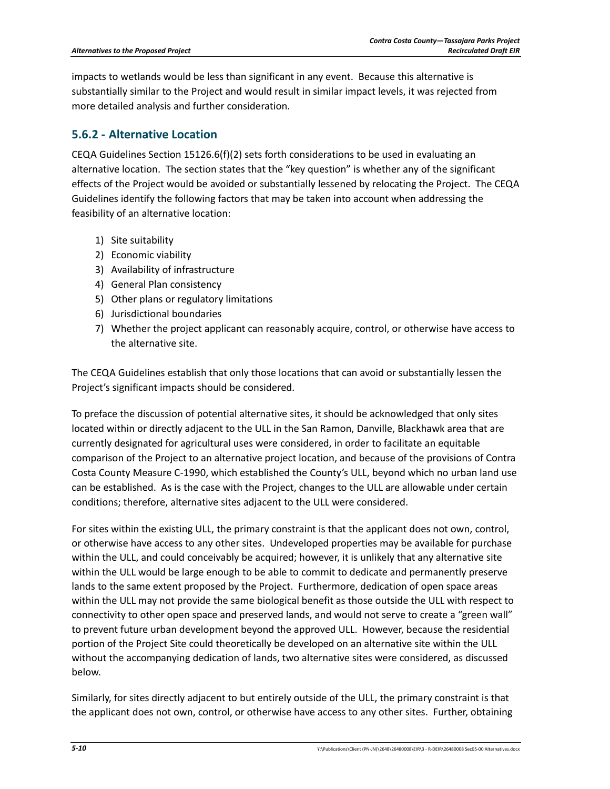impacts to wetlands would be less than significant in any event. Because this alternative is substantially similar to the Project and would result in similar impact levels, it was rejected from more detailed analysis and further consideration.

### **5.6.2 ‐ Alternative Location**

CEQA Guidelines Section 15126.6(f)(2) sets forth considerations to be used in evaluating an alternative location. The section states that the "key question" is whether any of the significant effects of the Project would be avoided or substantially lessened by relocating the Project. The CEQA Guidelines identify the following factors that may be taken into account when addressing the feasibility of an alternative location:

- 1) Site suitability
- 2) Economic viability
- 3) Availability of infrastructure
- 4) General Plan consistency
- 5) Other plans or regulatory limitations
- 6) Jurisdictional boundaries
- 7) Whether the project applicant can reasonably acquire, control, or otherwise have access to the alternative site.

The CEQA Guidelines establish that only those locations that can avoid or substantially lessen the Project's significant impacts should be considered.

To preface the discussion of potential alternative sites, it should be acknowledged that only sites located within or directly adjacent to the ULL in the San Ramon, Danville, Blackhawk area that are currently designated for agricultural uses were considered, in order to facilitate an equitable comparison of the Project to an alternative project location, and because of the provisions of Contra Costa County Measure C‐1990, which established the County's ULL, beyond which no urban land use can be established. As is the case with the Project, changes to the ULL are allowable under certain conditions; therefore, alternative sites adjacent to the ULL were considered.

For sites within the existing ULL, the primary constraint is that the applicant does not own, control, or otherwise have access to any other sites. Undeveloped properties may be available for purchase within the ULL, and could conceivably be acquired; however, it is unlikely that any alternative site within the ULL would be large enough to be able to commit to dedicate and permanently preserve lands to the same extent proposed by the Project. Furthermore, dedication of open space areas within the ULL may not provide the same biological benefit as those outside the ULL with respect to connectivity to other open space and preserved lands, and would not serve to create a "green wall" to prevent future urban development beyond the approved ULL. However, because the residential portion of the Project Site could theoretically be developed on an alternative site within the ULL without the accompanying dedication of lands, two alternative sites were considered, as discussed below.

Similarly, for sites directly adjacent to but entirely outside of the ULL, the primary constraint is that the applicant does not own, control, or otherwise have access to any other sites. Further, obtaining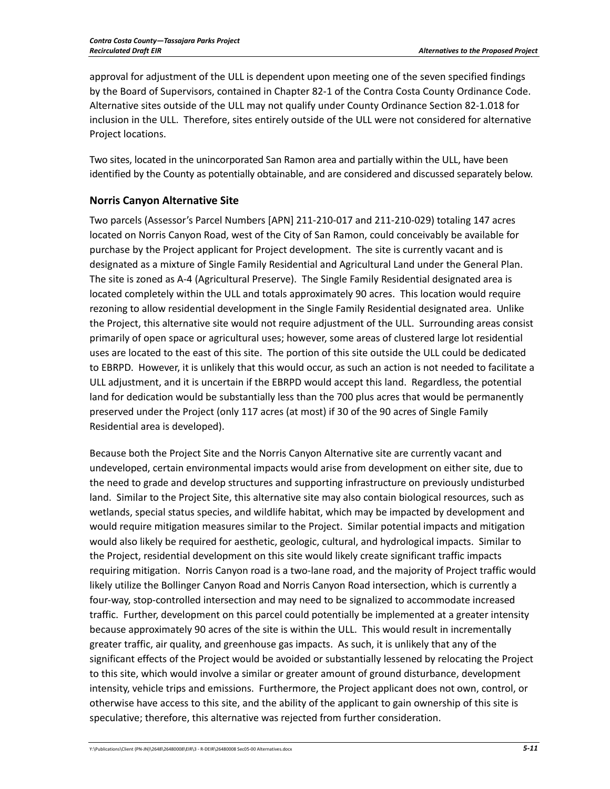approval for adjustment of the ULL is dependent upon meeting one of the seven specified findings by the Board of Supervisors, contained in Chapter 82‐1 of the Contra Costa County Ordinance Code. Alternative sites outside of the ULL may not qualify under County Ordinance Section 82‐1.018 for inclusion in the ULL. Therefore, sites entirely outside of the ULL were not considered for alternative Project locations.

Two sites, located in the unincorporated San Ramon area and partially within the ULL, have been identified by the County as potentially obtainable, and are considered and discussed separately below.

#### **Norris Canyon Alternative Site**

Two parcels (Assessor's Parcel Numbers [APN] 211‐210‐017 and 211‐210‐029) totaling 147 acres located on Norris Canyon Road, west of the City of San Ramon, could conceivably be available for purchase by the Project applicant for Project development. The site is currently vacant and is designated as a mixture of Single Family Residential and Agricultural Land under the General Plan. The site is zoned as A‐4 (Agricultural Preserve). The Single Family Residential designated area is located completely within the ULL and totals approximately 90 acres. This location would require rezoning to allow residential development in the Single Family Residential designated area. Unlike the Project, this alternative site would not require adjustment of the ULL. Surrounding areas consist primarily of open space or agricultural uses; however, some areas of clustered large lot residential uses are located to the east of this site. The portion of this site outside the ULL could be dedicated to EBRPD. However, it is unlikely that this would occur, as such an action is not needed to facilitate a ULL adjustment, and it is uncertain if the EBRPD would accept this land. Regardless, the potential land for dedication would be substantially less than the 700 plus acres that would be permanently preserved under the Project (only 117 acres (at most) if 30 of the 90 acres of Single Family Residential area is developed).

Because both the Project Site and the Norris Canyon Alternative site are currently vacant and undeveloped, certain environmental impacts would arise from development on either site, due to the need to grade and develop structures and supporting infrastructure on previously undisturbed land. Similar to the Project Site, this alternative site may also contain biological resources, such as wetlands, special status species, and wildlife habitat, which may be impacted by development and would require mitigation measures similar to the Project. Similar potential impacts and mitigation would also likely be required for aesthetic, geologic, cultural, and hydrological impacts. Similar to the Project, residential development on this site would likely create significant traffic impacts requiring mitigation. Norris Canyon road is a two-lane road, and the majority of Project traffic would likely utilize the Bollinger Canyon Road and Norris Canyon Road intersection, which is currently a four‐way, stop‐controlled intersection and may need to be signalized to accommodate increased traffic. Further, development on this parcel could potentially be implemented at a greater intensity because approximately 90 acres of the site is within the ULL. This would result in incrementally greater traffic, air quality, and greenhouse gas impacts. As such, it is unlikely that any of the significant effects of the Project would be avoided or substantially lessened by relocating the Project to this site, which would involve a similar or greater amount of ground disturbance, development intensity, vehicle trips and emissions. Furthermore, the Project applicant does not own, control, or otherwise have access to this site, and the ability of the applicant to gain ownership of this site is speculative; therefore, this alternative was rejected from further consideration.